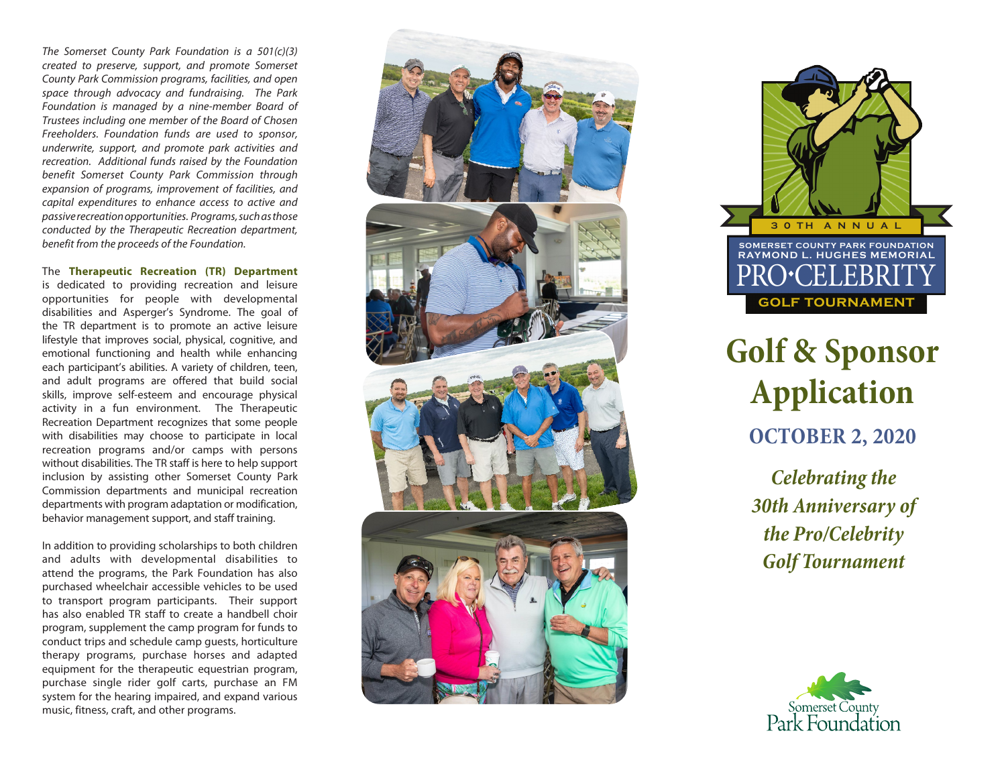*The Somerset County Park Foundation is a 501(c)(3) created to preserve, support, and promote Somerset County Park Commission programs, facilities, and open space through advocacy and fundraising. The Park Foundation is managed by a nine-member Board of Trustees including one member of the Board of Chosen Freeholders. Foundation funds are used to sponsor, underwrite, support, and promote park activities and recreation. Additional funds raised by the Foundation benefit Somerset County Park Commission through expansion of programs, improvement of facilities, and capital expenditures to enhance access to active and passive recreation opportunities. Programs, such as those conducted by the Therapeutic Recreation department, benefit from the proceeds of the Foundation.* 

The **Therapeutic Recreation (TR) Department** is dedicated to providing recreation and leisure opportunities for people with developmental disabilities and Asperger's Syndrome. The goal of the TR department is to promote an active leisure lifestyle that improves social, physical, cognitive, and emotional functioning and health while enhancing each participant's abilities. A variety of children, teen, and adult programs are offered that build social skills, improve self-esteem and encourage physical activity in a fun environment. The Therapeutic Recreation Department recognizes that some people with disabilities may choose to participate in local recreation programs and/or camps with persons without disabilities. The TR staff is here to help support inclusion by assisting other Somerset County Park Commission departments and municipal recreation departments with program adaptation or modification, behavior management support, and staff training.

In addition to providing scholarships to both children and adults with developmental disabilities to attend the programs, the Park Foundation has also purchased wheelchair accessible vehicles to be used to transport program participants. Their support has also enabled TR staff to create a handbell choir program, supplement the camp program for funds to conduct trips and schedule camp guests, horticulture therapy programs, purchase horses and adapted equipment for the therapeutic equestrian program, purchase single rider golf carts, purchase an FM system for the hearing impaired, and expand various music, fitness, craft, and other programs.





# **Golf & Sponsor Application OCTOBER 2, 2020**

*Celebrating the 30th Anniversary of the Pro/Celebrity Golf Tournament*